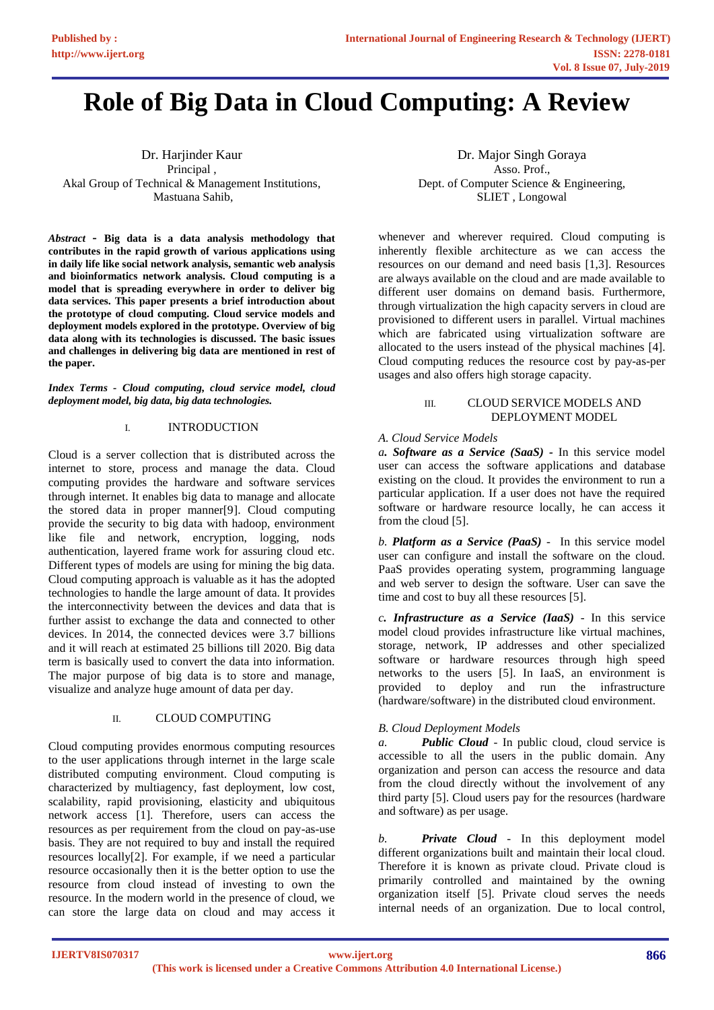# **Role of Big Data in Cloud Computing: A Review**

Dr. Harjinder Kaur Principal , Akal Group of Technical & Management Institutions, Mastuana Sahib,

*Abstract* **- Big data is a data analysis methodology that contributes in the rapid growth of various applications using in daily life like social network analysis, semantic web analysis and bioinformatics network analysis. Cloud computing is a model that is spreading everywhere in order to deliver big data services. This paper presents a brief introduction about the prototype of cloud computing. Cloud service models and deployment models explored in the prototype. Overview of big data along with its technologies is discussed. The basic issues and challenges in delivering big data are mentioned in rest of the paper.** 

*Index Terms - Cloud computing, cloud service model, cloud deployment model, big data, big data technologies.*

# I. INTRODUCTION

Cloud is a server collection that is distributed across the internet to store, process and manage the data. Cloud computing provides the hardware and software services through internet. It enables big data to manage and allocate the stored data in proper manner[9]. Cloud computing provide the security to big data with hadoop, environment like file and network, encryption, logging, nods authentication, layered frame work for assuring cloud etc. Different types of models are using for mining the big data. Cloud computing approach is valuable as it has the adopted technologies to handle the large amount of data. It provides the interconnectivity between the devices and data that is further assist to exchange the data and connected to other devices. In 2014, the connected devices were 3.7 billions and it will reach at estimated 25 billions till 2020. Big data term is basically used to convert the data into information. The major purpose of big data is to store and manage, visualize and analyze huge amount of data per day.

## II. CLOUD COMPUTING

Cloud computing provides enormous computing resources to the user applications through internet in the large scale distributed computing environment. Cloud computing is characterized by multiagency, fast deployment, low cost, scalability, rapid provisioning, elasticity and ubiquitous network access [1]. Therefore, users can access the resources as per requirement from the cloud on pay-as-use basis. They are not required to buy and install the required resources locally[2]. For example, if we need a particular resource occasionally then it is the better option to use the resource from cloud instead of investing to own the resource. In the modern world in the presence of cloud, we can store the large data on cloud and may access it

Dr. Major Singh Goraya Asso. Prof., Dept. of Computer Science & Engineering, SLIET , Longowal

whenever and wherever required. Cloud computing is inherently flexible architecture as we can access the resources on our demand and need basis [1,3]. Resources are always available on the cloud and are made available to different user domains on demand basis. Furthermore, through virtualization the high capacity servers in cloud are provisioned to different users in parallel. Virtual machines which are fabricated using virtualization software are allocated to the users instead of the physical machines [4]. Cloud computing reduces the resource cost by pay-as-per usages and also offers high storage capacity.

## III. CLOUD SERVICE MODELS AND DEPLOYMENT MODEL

## *A. Cloud Service Models*

*a. Software as a Service (SaaS) -* In this service model user can access the software applications and database existing on the cloud. It provides the environment to run a particular application. If a user does not have the required software or hardware resource locally, he can access it from the cloud [5].

*b. Platform as a Service (PaaS) -* In this service model user can configure and install the software on the cloud. PaaS provides operating system, programming language and web server to design the software. User can save the time and cost to buy all these resources [5].

*c. Infrastructure as a Service (IaaS) -* In this service model cloud provides infrastructure like virtual machines, storage, network, IP addresses and other specialized software or hardware resources through high speed networks to the users [5]. In IaaS, an environment is provided to deploy and run the infrastructure (hardware/software) in the distributed cloud environment.

# *B. Cloud Deployment Models*

*a. Public Cloud -* In public cloud, cloud service is accessible to all the users in the public domain. Any organization and person can access the resource and data from the cloud directly without the involvement of any third party [5]. Cloud users pay for the resources (hardware and software) as per usage.

*b. Private Cloud -* In this deployment model different organizations built and maintain their local cloud. Therefore it is known as private cloud. Private cloud is primarily controlled and maintained by the owning organization itself [5]. Private cloud serves the needs internal needs of an organization. Due to local control,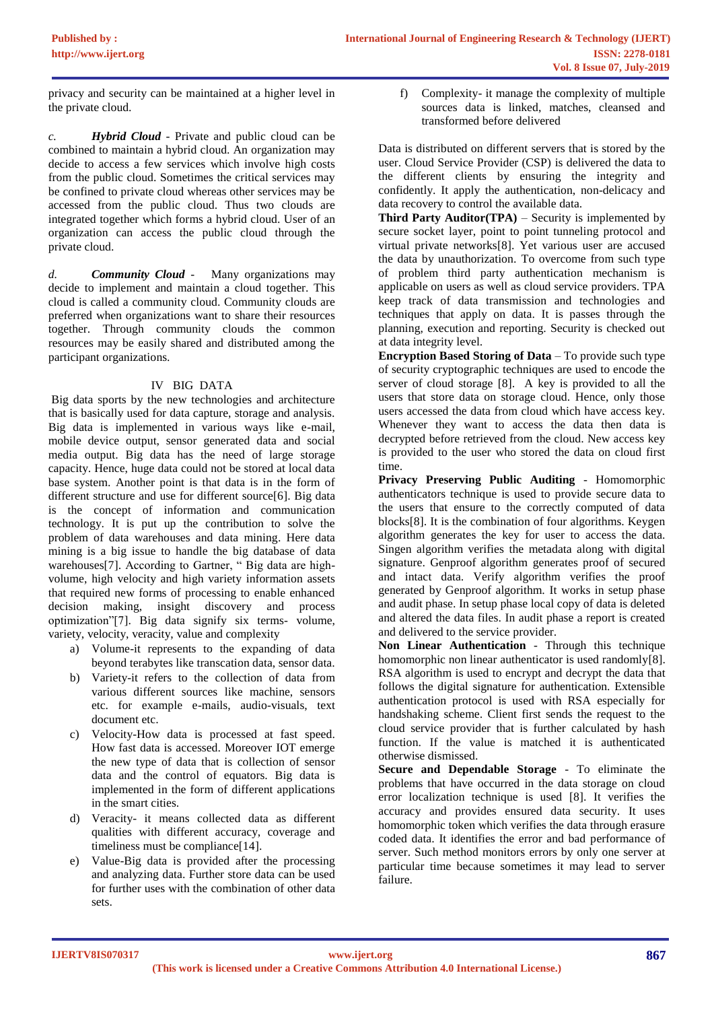privacy and security can be maintained at a higher level in the private cloud.

*c. Hybrid Cloud -* Private and public cloud can be combined to maintain a hybrid cloud. An organization may decide to access a few services which involve high costs from the public cloud. Sometimes the critical services may be confined to private cloud whereas other services may be accessed from the public cloud. Thus two clouds are integrated together which forms a hybrid cloud. User of an organization can access the public cloud through the private cloud.

*d. Community Cloud -* Many organizations may decide to implement and maintain a cloud together. This cloud is called a community cloud. Community clouds are preferred when organizations want to share their resources together. Through community clouds the common resources may be easily shared and distributed among the participant organizations.

# IV BIG DATA

Big data sports by the new technologies and architecture that is basically used for data capture, storage and analysis. Big data is implemented in various ways like e-mail, mobile device output, sensor generated data and social media output. Big data has the need of large storage capacity. Hence, huge data could not be stored at local data base system. Another point is that data is in the form of different structure and use for different source[6]. Big data is the concept of information and communication technology. It is put up the contribution to solve the problem of data warehouses and data mining. Here data mining is a big issue to handle the big database of data warehouses[7]. According to Gartner, "Big data are highvolume, high velocity and high variety information assets that required new forms of processing to enable enhanced decision making, insight discovery and process optimization"[7]. Big data signify six terms- volume, variety, velocity, veracity, value and complexity

- a) Volume-it represents to the expanding of data beyond terabytes like transcation data, sensor data.
- b) Variety-it refers to the collection of data from various different sources like machine, sensors etc. for example e-mails, audio-visuals, text document etc.
- c) Velocity-How data is processed at fast speed. How fast data is accessed. Moreover IOT emerge the new type of data that is collection of sensor data and the control of equators. Big data is implemented in the form of different applications in the smart cities.
- d) Veracity- it means collected data as different qualities with different accuracy, coverage and timeliness must be compliance[14].
- e) Value-Big data is provided after the processing and analyzing data. Further store data can be used for further uses with the combination of other data sets.

f) Complexity- it manage the complexity of multiple sources data is linked, matches, cleansed and transformed before delivered

Data is distributed on different servers that is stored by the user. Cloud Service Provider (CSP) is delivered the data to the different clients by ensuring the integrity and confidently. It apply the authentication, non-delicacy and data recovery to control the available data.

**Third Party Auditor(TPA)** – Security is implemented by secure socket layer, point to point tunneling protocol and virtual private networks[8]. Yet various user are accused the data by unauthorization. To overcome from such type of problem third party authentication mechanism is applicable on users as well as cloud service providers. TPA keep track of data transmission and technologies and techniques that apply on data. It is passes through the planning, execution and reporting. Security is checked out at data integrity level.

**Encryption Based Storing of Data** – To provide such type of security cryptographic techniques are used to encode the server of cloud storage [8]. A key is provided to all the users that store data on storage cloud. Hence, only those users accessed the data from cloud which have access key. Whenever they want to access the data then data is decrypted before retrieved from the cloud. New access key is provided to the user who stored the data on cloud first time.

**Privacy Preserving Public Auditing** - Homomorphic authenticators technique is used to provide secure data to the users that ensure to the correctly computed of data blocks[8]. It is the combination of four algorithms. Keygen algorithm generates the key for user to access the data. Singen algorithm verifies the metadata along with digital signature. Genproof algorithm generates proof of secured and intact data. Verify algorithm verifies the proof generated by Genproof algorithm. It works in setup phase and audit phase. In setup phase local copy of data is deleted and altered the data files. In audit phase a report is created and delivered to the service provider.

**Non Linear Authentication** - Through this technique homomorphic non linear authenticator is used randomly[8]. RSA algorithm is used to encrypt and decrypt the data that follows the digital signature for authentication. Extensible authentication protocol is used with RSA especially for handshaking scheme. Client first sends the request to the cloud service provider that is further calculated by hash function. If the value is matched it is authenticated otherwise dismissed.

**Secure and Dependable Storage** - To eliminate the problems that have occurred in the data storage on cloud error localization technique is used [8]. It verifies the accuracy and provides ensured data security. It uses homomorphic token which verifies the data through erasure coded data. It identifies the error and bad performance of server. Such method monitors errors by only one server at particular time because sometimes it may lead to server failure.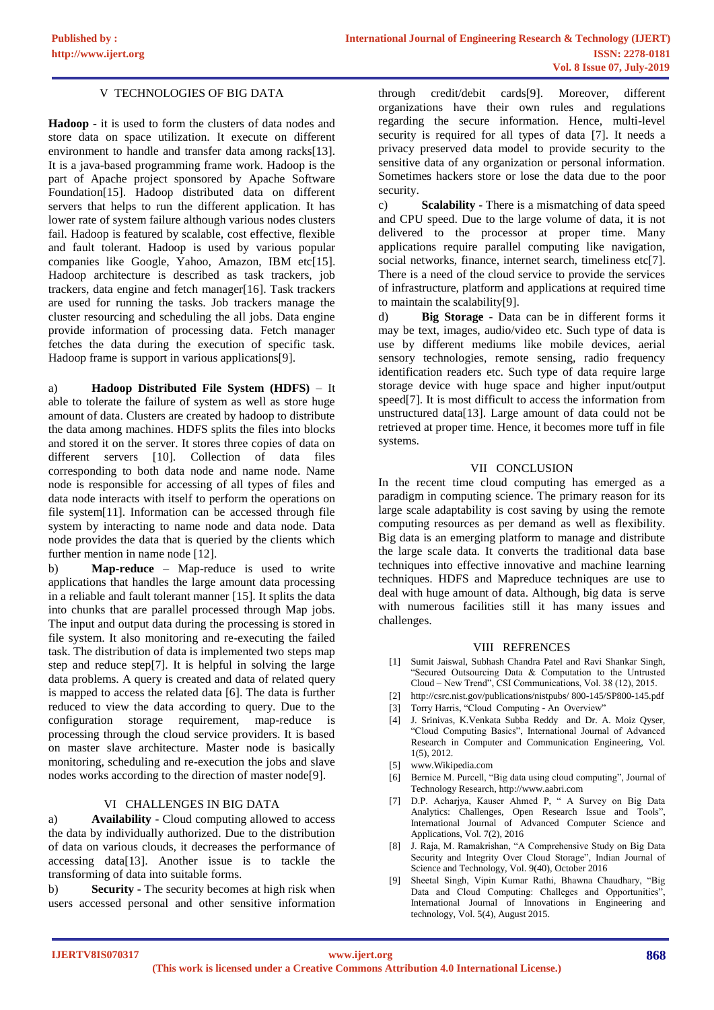# V TECHNOLOGIES OF BIG DATA

**Hadoop -** it is used to form the clusters of data nodes and store data on space utilization. It execute on different environment to handle and transfer data among racks[13]. It is a java-based programming frame work. Hadoop is the part of Apache project sponsored by Apache Software Foundation[15]. Hadoop distributed data on different servers that helps to run the different application. It has lower rate of system failure although various nodes clusters fail. Hadoop is featured by scalable, cost effective, flexible and fault tolerant. Hadoop is used by various popular companies like Google, Yahoo, Amazon, IBM etc $[15]$ . Hadoop architecture is described as task trackers, job trackers, data engine and fetch manager[16]. Task trackers are used for running the tasks. Job trackers manage the cluster resourcing and scheduling the all jobs. Data engine provide information of processing data. Fetch manager fetches the data during the execution of specific task. Hadoop frame is support in various applications[9].

a) **Hadoop Distributed File System (HDFS)** – It able to tolerate the failure of system as well as store huge amount of data. Clusters are created by hadoop to distribute the data among machines. HDFS splits the files into blocks and stored it on the server. It stores three copies of data on different servers [10]. Collection of data files corresponding to both data node and name node. Name node is responsible for accessing of all types of files and data node interacts with itself to perform the operations on file system[11]. Information can be accessed through file system by interacting to name node and data node. Data node provides the data that is queried by the clients which further mention in name node [12].

b) **Map-reduce** – Map-reduce is used to write applications that handles the large amount data processing in a reliable and fault tolerant manner [15]. It splits the data into chunks that are parallel processed through Map jobs. The input and output data during the processing is stored in file system. It also monitoring and re-executing the failed task. The distribution of data is implemented two steps map step and reduce step[7]. It is helpful in solving the large data problems. A query is created and data of related query is mapped to access the related data [6]. The data is further reduced to view the data according to query. Due to the configuration storage requirement, map-reduce is processing through the cloud service providers. It is based on master slave architecture. Master node is basically monitoring, scheduling and re-execution the jobs and slave nodes works according to the direction of master node[9].

## VI CHALLENGES IN BIG DATA

a) **Availability** - Cloud computing allowed to access the data by individually authorized. Due to the distribution of data on various clouds, it decreases the performance of accessing data[13]. Another issue is to tackle the transforming of data into suitable forms.

b) **Security -** The security becomes at high risk when users accessed personal and other sensitive information through credit/debit cards[9]. Moreover, different organizations have their own rules and regulations regarding the secure information. Hence, multi-level security is required for all types of data [7]. It needs a privacy preserved data model to provide security to the sensitive data of any organization or personal information. Sometimes hackers store or lose the data due to the poor security.

c) **Scalability** - There is a mismatching of data speed and CPU speed. Due to the large volume of data, it is not delivered to the processor at proper time. Many applications require parallel computing like navigation, social networks, finance, internet search, timeliness etc[7]. There is a need of the cloud service to provide the services of infrastructure, platform and applications at required time to maintain the scalability[9].

d) **Big Storage** - Data can be in different forms it may be text, images, audio/video etc. Such type of data is use by different mediums like mobile devices, aerial sensory technologies, remote sensing, radio frequency identification readers etc. Such type of data require large storage device with huge space and higher input/output speed[7]. It is most difficult to access the information from unstructured data[13]. Large amount of data could not be retrieved at proper time. Hence, it becomes more tuff in file systems.

## VII CONCLUSION

In the recent time cloud computing has emerged as a paradigm in computing science. The primary reason for its large scale adaptability is cost saving by using the remote computing resources as per demand as well as flexibility. Big data is an emerging platform to manage and distribute the large scale data. It converts the traditional data base techniques into effective innovative and machine learning techniques. HDFS and Mapreduce techniques are use to deal with huge amount of data. Although, big data is serve with numerous facilities still it has many issues and challenges.

#### VIII REFRENCES

- [1] Sumit Jaiswal, Subhash Chandra Patel and Ravi Shankar Singh, "Secured Outsourcing Data & Computation to the Untrusted Cloud – New Trend", CSI Communications, Vol. 38 (12), 2015.
- [2] http://csrc.nist.gov/publications/nistpubs/ 800-145/SP800-145.pdf
- [3] Torry Harris, "Cloud Computing An Overview"
- [4] J. Srinivas, K.Venkata Subba Reddy and Dr. A. Moiz Qyser, "Cloud Computing Basics", International Journal of Advanced Research in Computer and Communication Engineering, Vol. 1(5), 2012.
- [5] www.Wikipedia.com
- [6] Bernice M. Purcell, "Big data using cloud computing", Journal of Technology Research, http://www.aabri.com
- [7] D.P. Acharjya, Kauser Ahmed P, " A Survey on Big Data Analytics: Challenges, Open Research Issue and Tools", International Journal of Advanced Computer Science and Applications, Vol. 7(2), 2016
- [8] J. Raja, M. Ramakrishan, "A Comprehensive Study on Big Data Security and Integrity Over Cloud Storage", Indian Journal of Science and Technology, Vol. 9(40), October 2016
- Sheetal Singh, Vipin Kumar Rathi, Bhawna Chaudhary, "Big Data and Cloud Computing: Challeges and Opportunities", International Journal of Innovations in Engineering and technology, Vol. 5(4), August 2015.